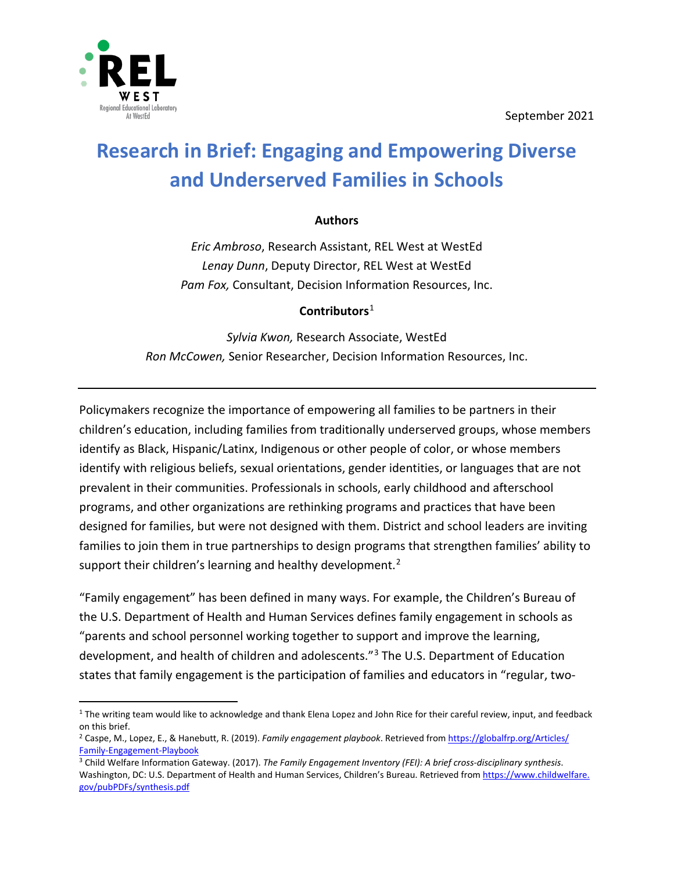September 2021



 $\overline{a}$ 

# **Research in Brief: Engaging and Empowering Diverse and Underserved Families in Schools**

#### **Authors**

*Eric Ambroso*, Research Assistant, REL West at WestEd *Lenay Dunn*, Deputy Director, REL West at WestEd *Pam Fox,* Consultant, Decision Information Resources, Inc.

#### **Contributors**  [1](#page-0-0)

*Sylvia Kwon,* Research Associate, WestEd *Ron McCowen,* Senior Researcher, Decision Information Resources, Inc.

Policymakers recognize the importance of empowering all families to be partners in their children's education, including families from traditionally underserved groups, whose members identify as Black, Hispanic/Latinx, Indigenous or other people of color, or whose members identify with religious beliefs, sexual orientations, gender identities, or languages that are not prevalent in their communities. Professionals in schools, early childhood and afterschool programs, and other organizations are rethinking programs and practices that have been designed for families, but were not designed with them. District and school leaders are inviting families to join them in true partnerships to design programs that strengthen families' ability to support their children's learning and healthy development.<sup>[2](#page-0-1)</sup>

"Family engagement" has been defined in many ways. For example, the Children's Bureau of the U.S. Department of Health and Human Services defines family engagement in schools as "parents and school personnel working together to support and improve the learning, development, and health of children and adolescents."<sup>[3](#page-0-2)</sup> The U.S. Department of Education states that family engagement is the participation of families and educators in "regular, two-

<span id="page-0-0"></span> $1$  The writing team would like to acknowledge and thank Elena Lopez and John Rice for their careful review, input, and feedback on this brief.

<span id="page-0-1"></span><sup>2</sup> Caspe, M., Lopez, E., & Hanebutt, R. (2019). *Family engagement playbook*. Retrieved fro[m https://globalfrp.org/Articles/](https://globalfrp.org/Articles/Family-Engagement-Playbook) Family-Engagement-Playbook<br><sup>3</sup> Child Welfare Information Gateway. (2017). *The Family Engagement Inventory (FEI): A brief cross-disciplinary synthesis*.

<span id="page-0-2"></span>Washington, DC: U.S. Department of Health and Human Services, Children's Bureau. Retrieved from [https://www.childwelfare.](https://www.childwelfare.gov/pubPDFs/synthesis.pdf) [gov/pubPDFs/synthesis.pdf](https://www.childwelfare.gov/pubPDFs/synthesis.pdf)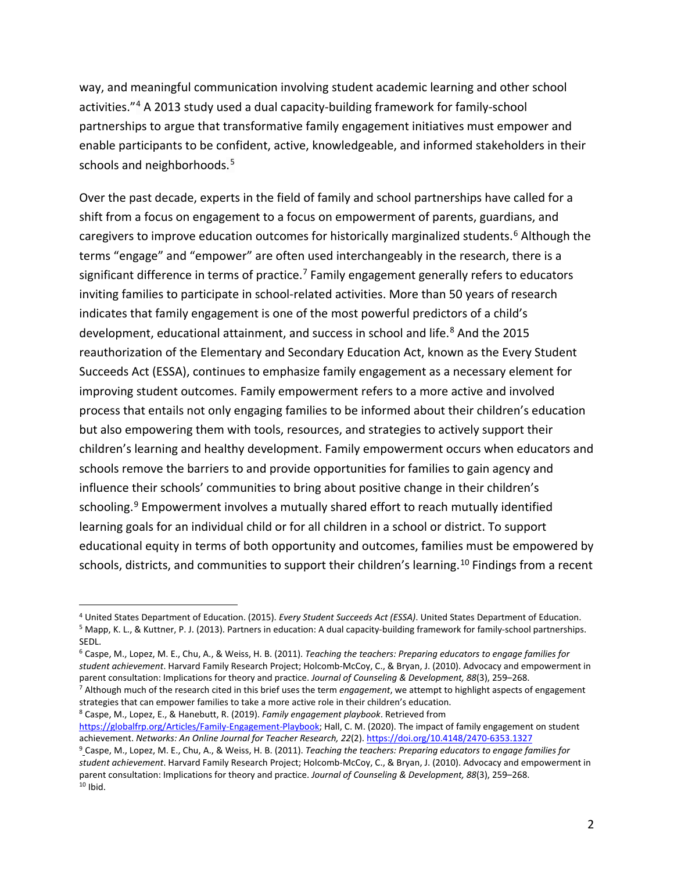<span id="page-1-6"></span>way, and meaningful communication involving student academic learning and other school activities."[4](#page-1-6) A 2013 study used a dual capacity-building framework for family-school partnerships to argue that transformative family engagement initiatives must empower and enable participants to be confident, active, knowledgeable, and informed stakeholders in their schools and neighborhoods. [5](#page-1-0)

Over the past decade, experts in the field of family and school partnerships have called for a shift from a focus on engagement to a focus on empowerment of parents, guardians, and caregivers to improve education outcomes for historically marginalized students.<sup>[6](#page-1-1)</sup> Although the terms "engage" and "empower" are often used interchangeably in the research, there is a significant difference in terms of practice.<sup>[7](#page-1-2)</sup> Family engagement generally refers to educators inviting families to participate in school-related activities. More than 50 years of research indicates that family engagement is one of the most powerful predictors of a child's development, educational attainment, and success in school and life.<sup>[8](#page-1-3)</sup> And the 2015 reauthorization of the Elementary and Secondary Education Act, known as the Every Student Succeeds Act (ESSA), continues to emphasize family engagement as a necessary element for improving student outcomes. Family empowerment refers to a more active and involved process that entails not only engaging families to be informed about their children's education but also empowering them with tools, resources, and strategies to actively support their children's learning and healthy development. Family empowerment occurs when educators and schools remove the barriers to and provide opportunities for families to gain agency and influence their schools' communities to bring about positive change in their children's schooling.<sup>[9](#page-1-4)</sup> Empowerment involves a mutually shared effort to reach mutually identified learning goals for an individual child or for all children in a school or district. To support educational equity in terms of both opportunity and outcomes, families must be empowered by schools, districts, and communities to support their children's learning.<sup>[10](#page-1-5)</sup> Findings from a recent

United States Department of Education. (2015). *Every Student Succeeds Act (ESSA)*. United States Department of Education. <sup>4</sup> <sup>5</sup> Mapp, K. L., & Kuttner, P. J. (2013). Partners in education: A dual capacity-building framework for family-school partnerships.

<span id="page-1-0"></span>SEDL.

<span id="page-1-1"></span><sup>6</sup> Caspe, M., Lopez, M. E., Chu, A., & Weiss, H. B. (2011). *Teaching the teachers: Preparing educators to engage families for student achievement*. Harvard Family Research Project; Holcomb-McCoy, C., & Bryan, J. (2010). Advocacy and empowerment in

<span id="page-1-2"></span><sup>7</sup> Although much of the research cited in this brief uses the term engagement, we attempt to highlight aspects of engagement strategies that can empower families to take a more active role in their children's education.

<span id="page-1-3"></span><sup>8</sup> Caspe, M., Lopez, E., & Hanebutt, R. (2019). *Family engagement playbook*. Retrieved from [https://globalfrp.org/Articles/Family-Engagement-Playbook;](https://globalfrp.org/Articles/Family-Engagement-Playbook) Hall, C. M. (2020). The impact of family engagement on student achievement. *Networks: An Online Journal for Teacher Research, 22*(2)[. https://doi.org/10.4148/2470-6353.1327](https://doi.org/10.4148/2470-6353.1327)

<span id="page-1-5"></span><span id="page-1-4"></span><sup>9</sup> Caspe, M., Lopez, M. E., Chu, A., & Weiss, H. B. (2011). *Teaching the teachers: Preparing educators to engage families for student achievement*. Harvard Family Research Project; Holcomb-McCoy, C., & Bryan, J. (2010). Advocacy and empowerment in parent consultation: Implications for theory and practice. *Journal of Counseling & Development, 88*(3), 259–268.<br><sup>10</sup> Ibid.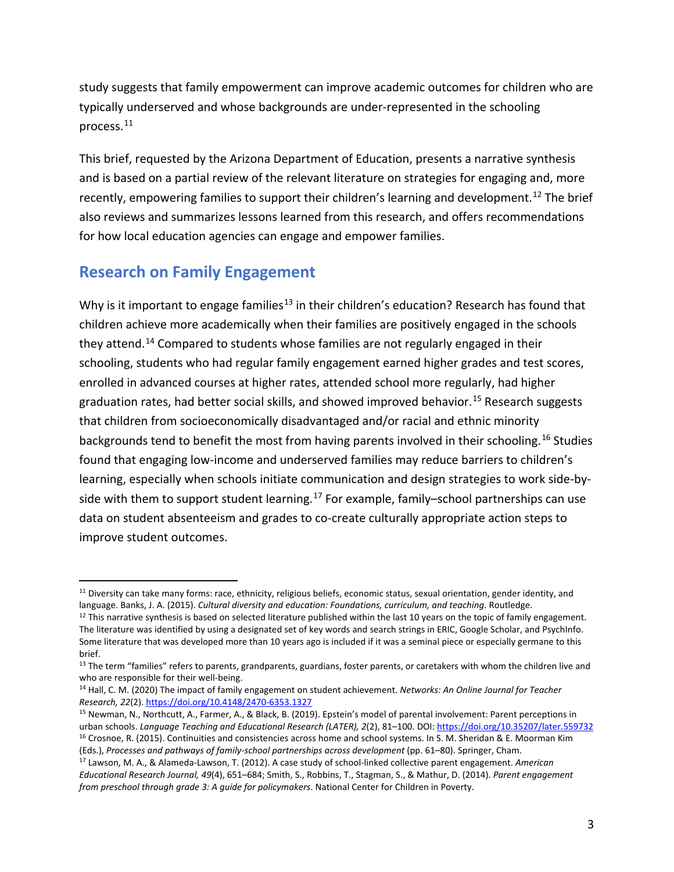study suggests that family empowerment can improve academic outcomes for children who are typically underserved and whose backgrounds are under-represented in the schooling process.[11](#page-2-0)

This brief, requested by the Arizona Department of Education, presents a narrative synthesis and is based on a partial review of the relevant literature on strategies for engaging and, more recently, empowering families to support their children's learning and development.<sup>[12](#page-2-1)</sup> The brief also reviews and summarizes lessons learned from this research, and offers recommendations for how local education agencies can engage and empower families.

# **Research on Family Engagement**

 $\overline{a}$ 

Why is it important to engage families<sup>[13](#page-2-2)</sup> in their children's education? Research has found that children achieve more academically when their families are positively engaged in the schools they attend.[14](#page-2-3) Compared to students whose families are not regularly engaged in their schooling, students who had regular family engagement earned higher grades and test scores, enrolled in advanced courses at higher rates, attended school more regularly, had higher graduation rates, had better social skills, and showed improved behavior.<sup>[15](#page-2-4)</sup> Research suggests that children from socioeconomically disadvantaged and/or racial and ethnic minority backgrounds tend to benefit the most from having parents involved in their schooling.<sup>[16](#page-2-5)</sup> Studies found that engaging low-income and underserved families may reduce barriers to children's learning, especially when schools initiate communication and design strategies to work side-by-side with them to support student learning.<sup>[17](#page-2-6)</sup> For example, family-school partnerships can use data on student absenteeism and grades to co-create culturally appropriate action steps to improve student outcomes.

<span id="page-2-0"></span><sup>&</sup>lt;sup>11</sup> Diversity can take many forms: race, ethnicity, religious beliefs, economic status, sexual orientation, gender identity, and language. Banks, J. A. (2015). *Cultural diversity and education: Foundations, curriculum, and teaching*. Routledge.

<span id="page-2-1"></span> $12$  This narrative synthesis is based on selected literature published within the last 10 years on the topic of family engagement. The literature was identified by using a designated set of key words and search strings in ERIC, Google Scholar, and PsychInfo. Some literature that was developed more than 10 years ago is included if it was a seminal piece or especially germane to this brief.

<span id="page-2-2"></span><sup>&</sup>lt;sup>13</sup> The term "families" refers to parents, grandparents, guardians, foster parents, or caretakers with whom the children live and who are responsible for their well-being.<br><sup>14</sup> Hall, C. M. (2020) The impact of family engagement on student achievement. *Networks: An Online Journal for Teacher* 

<span id="page-2-3"></span>*Research, 22*(2).<https://doi.org/10.4148/2470-6353.1327>

<span id="page-2-4"></span><sup>15</sup> Newman, N., Northcutt, A., Farmer, A., & Black, B. (2019). Epstein's model of parental involvement: Parent perceptions in urban schools. Language Teaching and Educational Research (LATER), 2(2), 81–100. DOI: https://doi.org/10.35207/later.559732<br><sup>16</sup> Crosnoe, R. (2015). Continuities and consistencies across home and school systems. In S. M. S (Eds.), *Processes and pathways of family-school partnerships across development* (pp. 61–80). Springer, Cham.

<span id="page-2-6"></span><span id="page-2-5"></span><sup>17</sup> Lawson, M. A., & Alameda-Lawson, T. (2012). A case study of school-linked collective parent engagement. *American Educational Research Journal, 49*(4), 651–684; Smith, S., Robbins, T., Stagman, S., & Mathur, D. (2014). *Parent engagement from preschool through grade 3: A guide for policymakers*. National Center for Children in Poverty.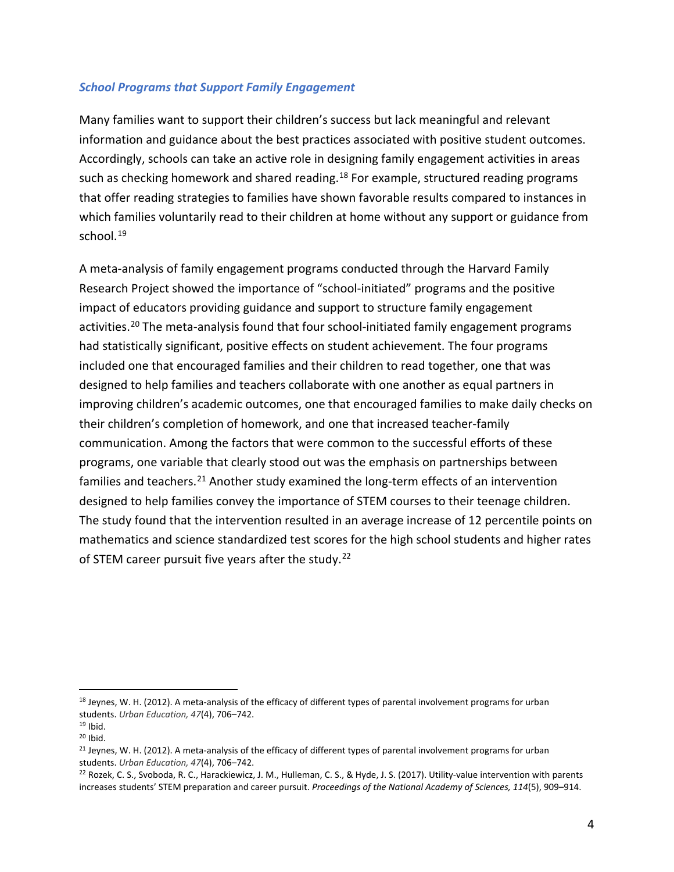#### *School Programs that Support Family Engagement*

Many families want to support their children's success but lack meaningful and relevant information and guidance about the best practices associated with positive student outcomes. Accordingly, schools can take an active role in designing family engagement activities in areas such as checking homework and shared reading.<sup>[18](#page-3-0)</sup> For example, structured reading programs that offer reading strategies to families have shown favorable results compared to instances in which families voluntarily read to their children at home without any support or guidance from school.<sup>[19](#page-3-1)</sup>

A meta-analysis of family engagement programs conducted through the Harvard Family Research Project showed the importance of "school-initiated" programs and the positive impact of educators providing guidance and support to structure family engagement activities.<sup>[20](#page-3-2)</sup> The meta-analysis found that four school-initiated family engagement programs had statistically significant, positive effects on student achievement. The four programs included one that encouraged families and their children to read together, one that was designed to help families and teachers collaborate with one another as equal partners in improving children's academic outcomes, one that encouraged families to make daily checks on their children's completion of homework, and one that increased teacher-family communication. Among the factors that were common to the successful efforts of these programs, one variable that clearly stood out was the emphasis on partnerships between families and teachers.<sup>[21](#page-3-3)</sup> Another study examined the long-term effects of an intervention designed to help families convey the importance of STEM courses to their teenage children. The study found that the intervention resulted in an average increase of 12 percentile points on mathematics and science standardized test scores for the high school students and higher rates of STEM career pursuit five years after the study.<sup>22</sup>

<span id="page-3-0"></span><sup>&</sup>lt;sup>18</sup> Jeynes, W. H. (2012). A meta-analysis of the efficacy of different types of parental involvement programs for urban students. *Urban Education, 47*(4), 706–742.

<span id="page-3-1"></span> $19$  Ibid.

<span id="page-3-2"></span> $20$  Ibid.

<span id="page-3-3"></span><sup>&</sup>lt;sup>21</sup> Jeynes, W. H. (2012). A meta-analysis of the efficacy of different types of parental involvement programs for urban students. *Urban Education, 47*(4), 706–742.

<span id="page-3-4"></span><sup>&</sup>lt;sup>22</sup> Rozek, C. S., Svoboda, R. C., Harackiewicz, J. M., Hulleman, C. S., & Hyde, J. S. (2017). Utility-value intervention with parents increases students' STEM preparation and career pursuit. *Proceedings of the National Academy of Sciences, 114*(5), 909–914.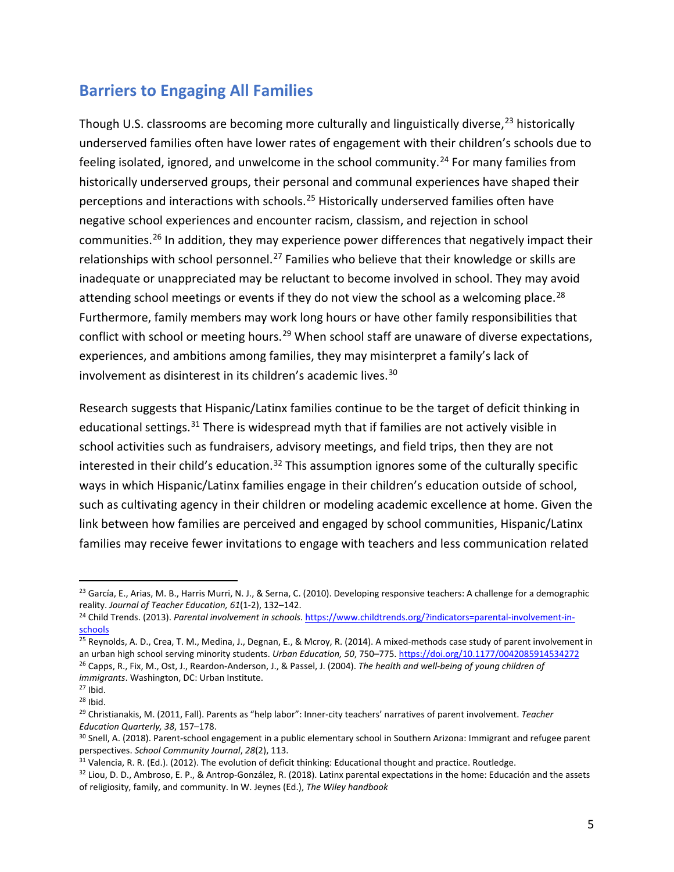## **Barriers to Engaging All Families**

Though U.S. classrooms are becoming more culturally and linguistically diverse,<sup>[23](#page-4-0)</sup> historically underserved families often have lower rates of engagement with their children's schools due to feeling isolated, ignored, and unwelcome in the school community.<sup>[24](#page-4-1)</sup> For many families from historically underserved groups, their personal and communal experiences have shaped their perceptions and interactions with schools.[25](#page-4-2) Historically underserved families often have negative school experiences and encounter racism, classism, and rejection in school communities.[26](#page-4-3) In addition, they may experience power differences that negatively impact their relationships with school personnel.<sup>[27](#page-4-4)</sup> Families who believe that their knowledge or skills are inadequate or unappreciated may be reluctant to become involved in school. They may avoid attending school meetings or events if they do not view the school as a welcoming place.<sup>[28](#page-4-5)</sup> Furthermore, family members may work long hours or have other family responsibilities that conflict with school or meeting hours.<sup>[29](#page-4-6)</sup> When school staff are unaware of diverse expectations, experiences, and ambitions among families, they may misinterpret a family's lack of involvement as disinterest in its children's academic lives.<sup>[30](#page-4-7)</sup>

Research suggests that Hispanic/Latinx families continue to be the target of deficit thinking in educational settings.<sup>[31](#page-4-8)</sup> There is widespread myth that if families are not actively visible in school activities such as fundraisers, advisory meetings, and field trips, then they are not interested in their child's education.<sup>[32](#page-4-9)</sup> This assumption ignores some of the culturally specific ways in which Hispanic/Latinx families engage in their children's education outside of school, such as cultivating agency in their children or modeling academic excellence at home. Given the link between how families are perceived and engaged by school communities, Hispanic/Latinx families may receive fewer invitations to engage with teachers and less communication related

<span id="page-4-0"></span><sup>&</sup>lt;sup>23</sup> García, E., Arias, M. B., Harris Murri, N. J., & Serna, C. (2010). Developing responsive teachers: A challenge for a demographic<br>reality. Journal of Teacher Education, 61(1-2), 132–142.

<span id="page-4-1"></span><sup>&</sup>lt;sup>24</sup> Child Trends. (2013). *Parental involvement in schools*. https://www.childtrends.org/?indicators=parental-involvement-in-<br>schools

<span id="page-4-2"></span> $\frac{25}{25}$  Reynolds, A. D., Crea, T. M., Medina, J., Degnan, E., & Mcroy, R. (2014). A mixed-methods case study of parent involvement in an urban high school serving minority students. *Urban Education, 50*, 750–775. https://doi.org/10.1177/0042085914534272<br><sup>26</sup> Capps, R., Fix, M., Ost, J., Reardon-Anderson, J., & Passel, J. (2004). The health and well-bein *immigrants*. Washington, DC: Urban Institute.

<span id="page-4-5"></span><span id="page-4-4"></span><span id="page-4-3"></span><sup>&</sup>lt;sup>27</sup> Ibid.<br><sup>28</sup> Ibid.<br><sup>29</sup> Christianakis, M. (2011, Fall). Parents as "help labor": Inner-city teachers' narratives of parent involvement. *Teacher* 

<span id="page-4-7"></span><span id="page-4-6"></span>*Education Quarterly, 38, 157–178.*<br><sup>30</sup> Snell, A. (2018). Parent-school engagement in a public elementary school in Southern Arizona: Immigrant and refugee parent<br>perspectives. *School Community Journal, 28*(2), 113.

<span id="page-4-8"></span><sup>&</sup>lt;sup>31</sup> Valencia, R. R. (Ed.). (2012). The evolution of deficit thinking: Educational thought and practice. Routledge.

<span id="page-4-9"></span><sup>32</sup> Liou, D. D., Ambroso, E. P., & Antrop-González, R. (2018). Latinx parental expectations in the home: Educación and the assets of religiosity, family, and community. In W. Jeynes (Ed.), *The Wiley handbook*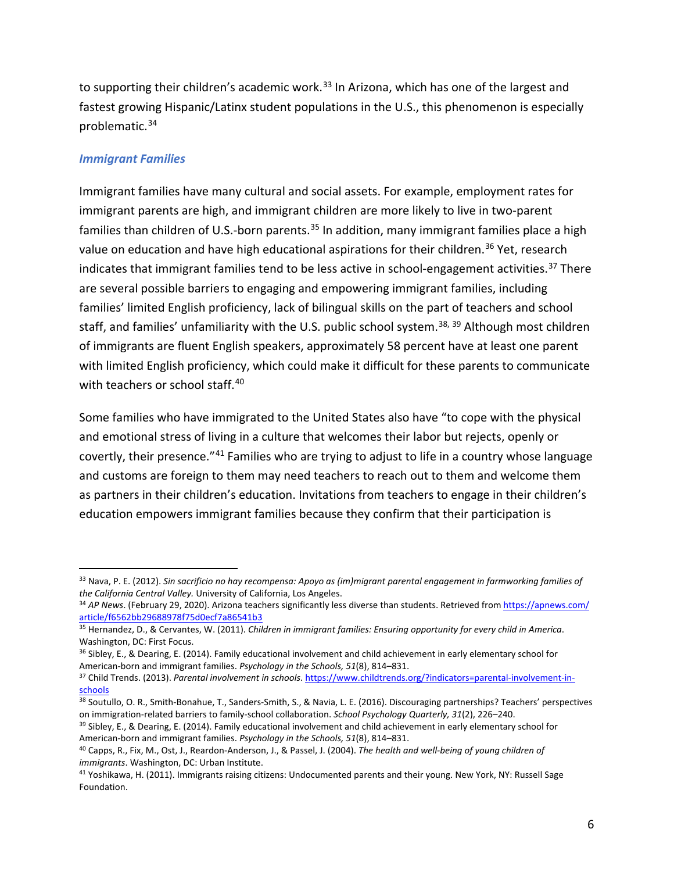<span id="page-5-0"></span>to supporting their children's academic work.<sup>[33](#page-5-0)</sup> In Arizona, which has one of the largest and fastest growing Hispanic/Latinx student populations in the U.S., this phenomenon is especially problematic.[34](#page-5-1) 

#### *Immigrant Families*

 $\overline{a}$ 

Immigrant families have many cultural and social assets. For example, employment rates for immigrant parents are high, and immigrant children are more likely to live in two-parent families than children of U.S.-born parents.<sup>[35](#page-5-2)</sup> In addition, many immigrant families place a high value on education and have high educational aspirations for their children.<sup>[36](#page-5-3)</sup> Yet, research indicates that immigrant families tend to be less active in school-engagement activities.<sup>[37](#page-5-4)</sup> There are several possible barriers to engaging and empowering immigrant families, including families' limited English proficiency, lack of bilingual skills on the part of teachers and school staff, and families' unfamiliarity with the U.S. public school system.<sup>[38,](#page-5-5) [39](#page-5-6)</sup> Although most children of immigrants are fluent English speakers, approximately 58 percent have at least one parent with limited English proficiency, which could make it difficult for these parents to communicate with teachers or school staff.<sup>[40](#page-5-7)</sup>

Some families who have immigrated to the United States also have "to cope with the physical and emotional stress of living in a culture that welcomes their labor but rejects, openly or covertly, their presence."[41](#page-5-8) Families who are trying to adjust to life in a country whose language and customs are foreign to them may need teachers to reach out to them and welcome them as partners in their children's education. Invitations from teachers to engage in their children's education empowers immigrant families because they confirm that their participation is

<sup>33</sup> Nava, P. E. (2012). *Sin sacrificio no hay recompensa: Apoyo as (im)migrant parental engagement in farmworking families of* 

<span id="page-5-1"></span>*the California Central Valley.* University of California, Los Angeles.<br><sup>34</sup> *AP News*. (February 29, 2020). Arizona teachers significantly less diverse than students. Retrieved fro[m https://apnews.com/](https://apnews.com/article/f6562bb29688978f75d0ecf7a86541b3)<br>article/f6562bb2968

<span id="page-5-2"></span><sup>&</sup>lt;sup>35</sup> Hernandez, D., & Cervantes, W. (2011). *Children in immigrant families: Ensuring opportunity for every child in America.* Washington, DC: First Focus.

<span id="page-5-3"></span><sup>&</sup>lt;sup>36</sup> Sibley, E., & Dearing, E. (2014). Family educational involvement and child achievement in early elementary school for American-born and immigrant families. *Psychology in the Schools, 51*(8), 814–831.

<span id="page-5-4"></span><sup>37</sup> Child Trends. (2013). *Parental involvement in schools*[. https://www.childtrends.org/?indicators=parental-involvement-in](https://www.childtrends.org/?indicators=parental-involvement-in-schools)[schools](https://www.childtrends.org/?indicators=parental-involvement-in-schools)

<span id="page-5-5"></span><sup>38</sup> Soutullo, O. R., Smith-Bonahue, T., Sanders-Smith, S., & Navia, L. E. (2016). Discouraging partnerships? Teachers' perspectives on immigration-related barriers to family-school collaboration. School Psychology Quarterly, 31(2), 226–240.<br><sup>39</sup> Sibley, E., & Dearing, E. (2014). Family educational involvement and child achievement in early elementary s

<span id="page-5-6"></span>American-born and immigrant families. *Psychology in the Schools, 51*(8), 814–831.<br><sup>40</sup> Capps, R., Fix, M., Ost, J., Reardon-Anderson, J., & Passel, J. (2004). *The health and well-being of young children of* 

<span id="page-5-7"></span>*immigrants*. Washington, DC: Urban Institute.

<span id="page-5-8"></span><sup>41</sup> Yoshikawa, H. (2011). Immigrants raising citizens: Undocumented parents and their young. New York, NY: Russell Sage Foundation.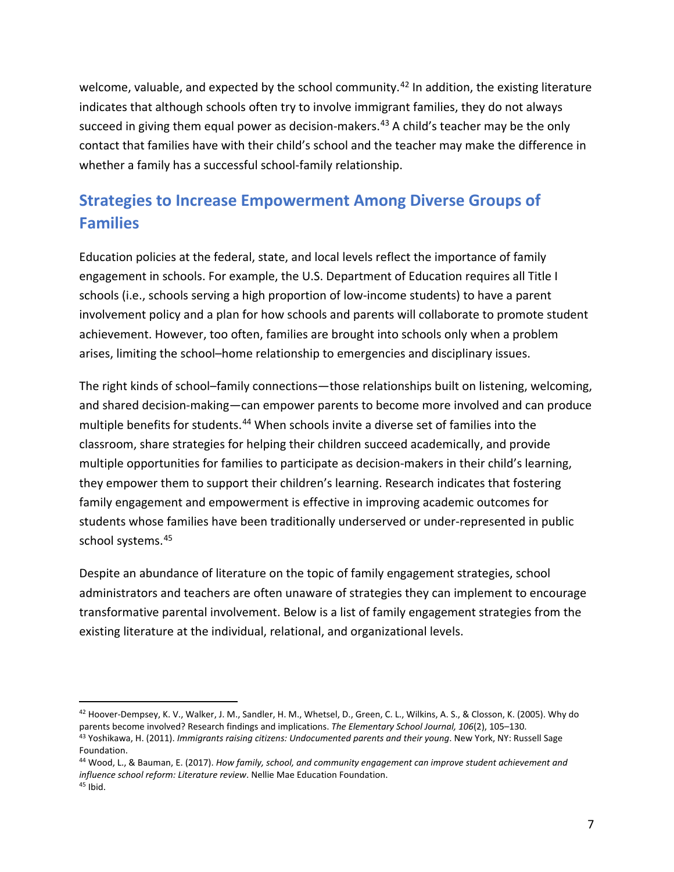welcome, valuable, and expected by the school community.<sup>[42](#page-6-0)</sup> In addition, the existing literature indicates that although schools often try to involve immigrant families, they do not always succeed in giving them equal power as decision-makers.<sup>[43](#page-6-1)</sup> A child's teacher may be the only contact that families have with their child's school and the teacher may make the difference in whether a family has a successful school-family relationship.

# **Strategies to Increase Empowerment Among Diverse Groups of Families**

Education policies at the federal, state, and local levels reflect the importance of family engagement in schools. For example, the U.S. Department of Education requires all Title I schools (i.e., schools serving a high proportion of low-income students) to have a parent involvement policy and a plan for how schools and parents will collaborate to promote student achievement. However, too often, families are brought into schools only when a problem arises, limiting the school–home relationship to emergencies and disciplinary issues.

The right kinds of school–family connections—those relationships built on listening, welcoming, and shared decision-making—can empower parents to become more involved and can produce multiple benefits for students. [44](#page-6-2) When schools invite a diverse set of families into the classroom, share strategies for helping their children succeed academically, and provide multiple opportunities for families to participate as decision-makers in their child's learning, they empower them to support their children's learning. Research indicates that fostering family engagement and empowerment is effective in improving academic outcomes for students whose families have been traditionally underserved or under-represented in public school systems.[45](#page-6-3) 

Despite an abundance of literature on the topic of family engagement strategies, school administrators and teachers are often unaware of strategies they can implement to encourage transformative parental involvement. Below is a list of family engagement strategies from the existing literature at the individual, relational, and organizational levels.

<span id="page-6-1"></span><span id="page-6-0"></span><sup>42</sup> Hoover-Dempsey, K. V., Walker, J. M., Sandler, H. M., Whetsel, D., Green, C. L., Wilkins, A. S., & Closson, K. (2005). Why do parents become involved? Research findings and implications. The Elementary School Journal, 106(2), 105-130.<br><sup>43</sup> Yoshikawa, H. (2011). Immigrants raising citizens: Undocumented parents and their young. New York, NY: Russe Foundation.

<span id="page-6-3"></span><span id="page-6-2"></span><sup>44</sup> Wood, L., & Bauman, E. (2017). *How family, school, and community engagement can improve student achievement and influence school reform: Literature review*. Nellie Mae Education Foundation.  $45$  Ibid.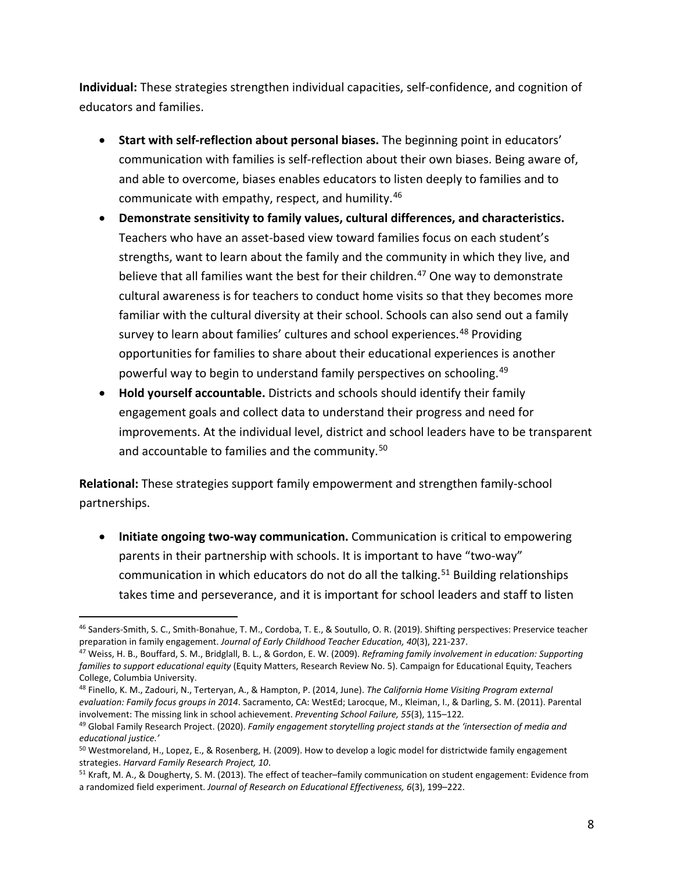**Individual:** These strategies strengthen individual capacities, self-confidence, and cognition of educators and families.

- **Start with self-reflection about personal biases.** The beginning point in educators' communication with families is self-reflection about their own biases. Being aware of, and able to overcome, biases enables educators to listen deeply to families and to communicate with empathy, respect, and humility.[46](#page-7-0)
- **Demonstrate sensitivity to family values, cultural differences, and characteristics.** Teachers who have an asset-based view toward families focus on each student's strengths, want to learn about the family and the community in which they live, and believe that all families want the best for their children. [47](#page-7-1) One way to demonstrate cultural awareness is for teachers to conduct home visits so that they becomes more familiar with the cultural diversity at their school. Schools can also send out a family survey to learn about families' cultures and school experiences.<sup>[48](#page-7-2)</sup> Providing opportunities for families to share about their educational experiences is another powerful way to begin to understand family perspectives on schooling. [49](#page-7-3)
- **Hold yourself accountable.** Districts and schools should identify their family engagement goals and collect data to understand their progress and need for improvements. At the individual level, district and school leaders have to be transparent and accountable to families and the community.<sup>[50](#page-7-4)</sup>

**Relational:** These strategies support family empowerment and strengthen family-school partnerships.

• **Initiate ongoing two-way communication.** Communication is critical to empowering parents in their partnership with schools. It is important to have "two-way" communication in which educators do not do all the talking.<sup>[51](#page-7-5)</sup> Building relationships takes time and perseverance, and it is important for school leaders and staff to listen

<span id="page-7-0"></span> $\overline{a}$ <sup>46</sup> Sanders-Smith, S. C., Smith-Bonahue, T. M., Cordoba, T. E., & Soutullo, O. R. (2019). Shifting perspectives: Preservice teacher<br>preparation in family engagement. Journal of Early Childhood Teacher Education, 40(3), 22

<span id="page-7-1"></span><sup>&</sup>lt;sup>47</sup> Weiss, H. B., Bouffard, S. M., Bridglall, B. L., & Gordon, E. W. (2009). Reframing family involvement in education: Supporting *families to support educational equity* (Equity Matters, Research Review No. 5). Campaign for Educational Equity, Teachers College, Columbia University.

<span id="page-7-2"></span><sup>48</sup> Finello, K. M., Zadouri, N., Terteryan, A., & Hampton, P. (2014, June). *The California Home Visiting Program external evaluation: Family focus groups in 2014*. Sacramento, CA: WestEd; Larocque, M., Kleiman, I., & Darling, S. M. (2011). Parental involvement: The missing link in school achievement. *Preventing School Failure, 55*(3), 115–122*.*

<span id="page-7-3"></span><sup>49</sup> Global Family Research Project. (2020). *Family engagement storytelling project stands at the 'intersection of media and educational justice.'*

<span id="page-7-4"></span><sup>&</sup>lt;sup>50</sup> Westmoreland, H., Lopez, E., & Rosenberg, H. (2009). How to develop a logic model for districtwide family engagement strategies. *Harvard Family Research Project, 10*.<br><sup>51</sup> Kraft, M. A., & Dougherty, S. M. (2013). The effect of teacher–family communication on student engagement: Evidence from

<span id="page-7-5"></span>a randomized field experiment. *Journal of Research on Educational Effectiveness, 6*(3), 199–222.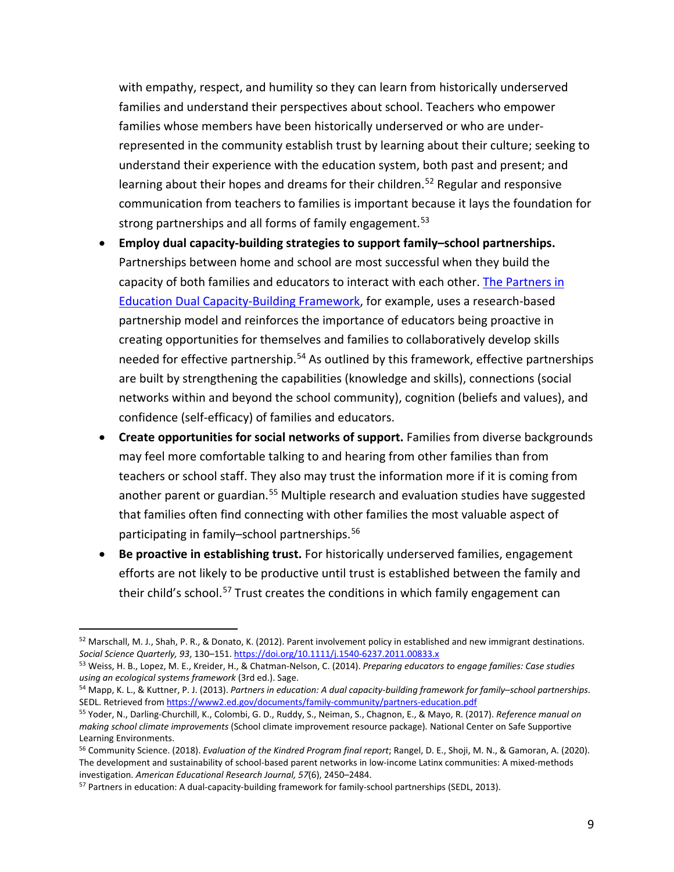with empathy, respect, and humility so they can learn from historically underserved families and understand their perspectives about school. Teachers who empower families whose members have been historically underserved or who are underrepresented in the community establish trust by learning about their culture; seeking to understand their experience with the education system, both past and present; and learning about their hopes and dreams for their children.<sup>[52](#page-8-0)</sup> Regular and responsive communication from teachers to families is important because it lays the foundation for strong partnerships and all forms of family engagement.<sup>[53](#page-8-1)</sup>

- **Employ dual capacity-building strategies to support family–school partnerships.**  Partnerships between home and school are most successful when they build the capacity of both families and educators to interact with each other. [The Partners in](https://www2.ed.gov/documents/family-community/partners-education.pdf)  [Education Dual Capacity-Building](https://www2.ed.gov/documents/family-community/partners-education.pdf) Framework, for example, uses a research-based partnership model and reinforces the importance of educators being proactive in creating opportunities for themselves and families to collaboratively develop skills needed for effective partnership.<sup>[54](#page-8-2)</sup> As outlined by this framework, effective partnerships are built by strengthening the capabilities (knowledge and skills), connections (social networks within and beyond the school community), cognition (beliefs and values), and confidence (self-efficacy) of families and educators.
- **Create opportunities for social networks of support.** Families from diverse backgrounds may feel more comfortable talking to and hearing from other families than from teachers or school staff. They also may trust the information more if it is coming from another parent or guardian.<sup>[55](#page-8-3)</sup> Multiple research and evaluation studies have suggested that families often find connecting with other families the most valuable aspect of participating in family–school partnerships. [56](#page-8-4)
- **Be proactive in establishing trust.** For historically underserved families, engagement efforts are not likely to be productive until trust is established between the family and their child's school.<sup>[57](#page-8-5)</sup> Trust creates the conditions in which family engagement can

<span id="page-8-0"></span><sup>52</sup> Marschall, M. J., Shah, P. R., & Donato, K. (2012). Parent involvement policy in established and new immigrant destinations.

<span id="page-8-1"></span>Social Science Quarterly, 93, 130–151. https://doi.org/10.1111/j.1540-6237.2011.00833.x<br><sup>53</sup> Weiss, H. B., Lopez, M. E., Kreider, H., & Chatman-Nelson, C. (2014). Preparing educators to engage families: Case studies<br>using

<span id="page-8-2"></span>*using an ecological systems framework* (3rd ed.). Sage. 54 Mapp, K. L., & Kuttner, P. J. (2013). *Partners in education: A dual capacity-building framework for family–school partnerships*. SEDL. Retrieved fro[m https://www2.ed.gov/documents/family-community/partners-education.pdf](https://www2.ed.gov/documents/family-community/partners-education.pdf)

<span id="page-8-3"></span><sup>55</sup> Yoder, N., Darling-Churchill, K., Colombi, G. D., Ruddy, S., Neiman, S., Chagnon, E., & Mayo, R. (2017). *Reference manual on making school climate improvements* (School climate improvement resource package)*.* National Center on Safe Supportive Learning Environments.<br><sup>56</sup> Community Science. (2018). *Evaluation of the Kindred Program final report*; Rangel, D. E., Shoji, M. N., & Gamoran, A. (2020).

<span id="page-8-4"></span>The development and sustainability of school-based parent networks in low-income Latinx communities: A mixed-methods investigation. American Educational Research Journal, 57(6), 2450-2484.

<span id="page-8-5"></span><sup>&</sup>lt;sup>57</sup> Partners in education: A dual-capacity-building framework for family-school partnerships (SEDL, 2013).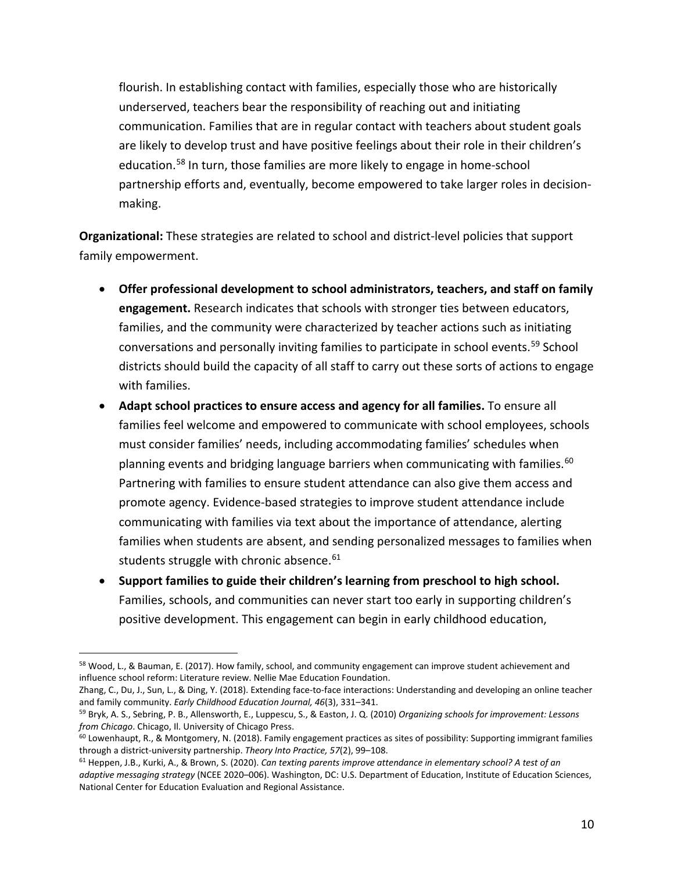flourish. In establishing contact with families, especially those who are historically underserved, teachers bear the responsibility of reaching out and initiating communication. Families that are in regular contact with teachers about student goals are likely to develop trust and have positive feelings about their role in their children's education.<sup>[58](#page-9-0)</sup> In turn, those families are more likely to engage in home-school partnership efforts and, eventually, become empowered to take larger roles in decisionmaking.

**Organizational:** These strategies are related to school and district-level policies that support family empowerment.

- **Offer professional development to school administrators, teachers, and staff on family engagement.** Research indicates that schools with stronger ties between educators, families, and the community were characterized by teacher actions such as initiating conversations and personally inviting families to participate in school events.<sup>[59](#page-9-1)</sup> School districts should build the capacity of all staff to carry out these sorts of actions to engage with families.
- **Adapt school practices to ensure access and agency for all families.** To ensure all families feel welcome and empowered to communicate with school employees, schools must consider families' needs, including accommodating families' schedules when planning events and bridging language barriers when communicating with families.<sup>[60](#page-9-2)</sup> Partnering with families to ensure student attendance can also give them access and promote agency. Evidence-based strategies to improve student attendance include communicating with families via text about the importance of attendance, alerting families when students are absent, and sending personalized messages to families when students struggle with chronic absence.<sup>[61](#page-9-3)</sup>
- **Support families to guide their children's learning from preschool to high school.** Families, schools, and communities can never start too early in supporting children's positive development. This engagement can begin in early childhood education,

<span id="page-9-0"></span> $\overline{a}$ <sup>58</sup> Wood, L., & Bauman, E. (2017). How family, school, and community engagement can improve student achievement and influence school reform: Literature review. Nellie Mae Education Foundation.

Zhang, C., Du, J., Sun, L., & Ding, Y. (2018). Extending face-to-face interactions: Understanding and developing an online teacher and family community. Early Childhood Education Journal, 46(3), 331-341.

<span id="page-9-1"></span><sup>&</sup>lt;sup>59</sup> Bryk, A. S., Sebring, P. B., Allensworth, E., Luppescu, S., & Easton, J. Q. (2010) *Organizing schools for improvement: Lessons from Chicago*. Chicago, Il. University of Chicago Press.

<span id="page-9-2"></span> $60$  Lowenhaupt, R., & Montgomery, N. (2018). Family engagement practices as sites of possibility: Supporting immigrant families through a district-university partnership. *Theory Into Practice, 57*(2), 99–108.<br><sup>61</sup> Heppen, J.B., Kurki, A., & Brown, S. (2020). *Can texting parents improve attendance in elementary school? A test of an* 

<span id="page-9-3"></span>*adaptive messaging strategy* (NCEE 2020–006). Washington, DC: U.S. Department of Education, Institute of Education Sciences, National Center for Education Evaluation and Regional Assistance.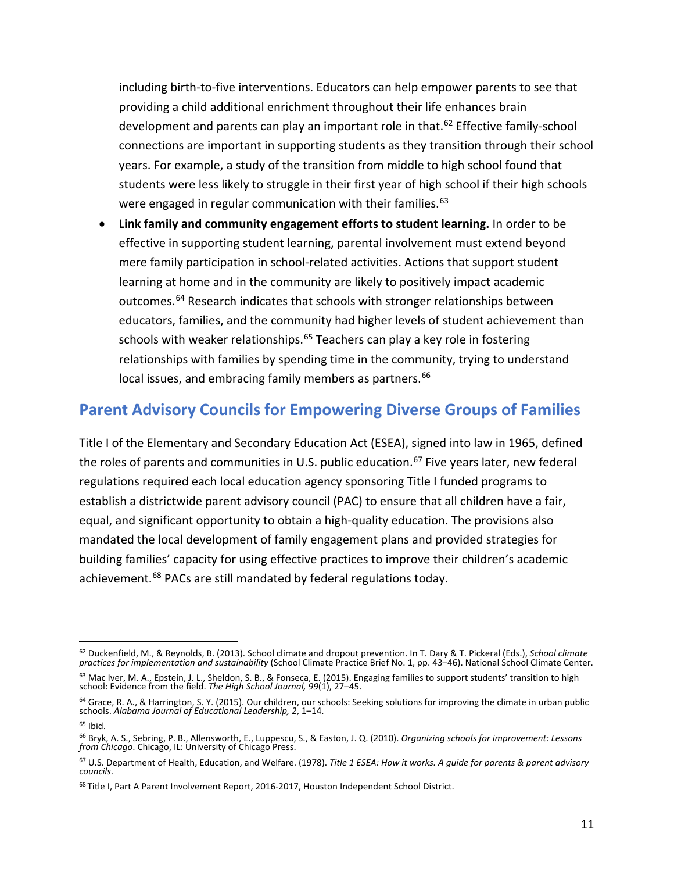including birth-to-five interventions. Educators can help empower parents to see that providing a child additional enrichment throughout their life enhances brain development and parents can play an important role in that. [62](#page-10-0) Effective family-school connections are important in supporting students as they transition through their school years. For example, a study of the transition from middle to high school found that students were less likely to struggle in their first year of high school if their high schools were engaged in regular communication with their families.<sup>[63](#page-10-1)</sup>

• **Link family and community engagement efforts to student learning.** In order to be effective in supporting student learning, parental involvement must extend beyond mere family participation in school-related activities. Actions that support student learning at home and in the community are likely to positively impact academic outcomes.<sup>[64](#page-10-2)</sup> Research indicates that schools with stronger relationships between educators, families, and the community had higher levels of student achievement than schools with weaker relationships.<sup>[65](#page-10-3)</sup> Teachers can play a key role in fostering relationships with families by spending time in the community, trying to understand local issues, and embracing family members as partners.<sup>[66](#page-10-4)</sup>

## **Parent Advisory Councils for Empowering Diverse Groups of Families**

Title I of the Elementary and Secondary Education Act (ESEA), signed into law in 1965, defined the roles of parents and communities in U.S. public education.<sup>[67](#page-10-5)</sup> Five years later, new federal achievement.<sup>[68](#page-10-6)</sup> PACs are still mandated by federal regulations today. regulations required each local education agency sponsoring Title I funded programs to establish a districtwide parent advisory council (PAC) to ensure that all children have a fair, equal, and significant opportunity to obtain a high-quality education. The provisions also mandated the local development of family engagement plans and provided strategies for building families' capacity for using effective practices to improve their children's academic

<span id="page-10-0"></span><sup>62</sup> Duckenfield, M., & Reynolds, B. (2013). School climate and dropout prevention. In T. Dary & T. Pickeral (Eds.), *School climate practices for implementation and sustainability* (School Climate Practice Brief No. 1, pp. 43–46). National School Climate Center.

<span id="page-10-1"></span><sup>63</sup> Mac Iver, M. A., Epstein, J. L., Sheldon, S. B., & Fonseca, E. (2015). Engaging families to support students' transition to high school: Evidence from the field. *The High School Journal, 99*(1), 27–45.

<span id="page-10-2"></span><sup>&</sup>lt;sup>64</sup> Grace, R. A., & Harrington, S. Y. (2015). Our children, our schools: Seeking solutions for improving the climate in urban public schools. *Alabama Journal of Educational Leadership, 2*, 1–14.

<span id="page-10-3"></span> $65$  Ibid.

<span id="page-10-4"></span><sup>66</sup> Bryk, A. S., Sebring, P. B., Allensworth, E., Luppescu, S., & Easton, J. Q. (2010). *Organizing schools for improvement: Lessons from Chicago*. Chicago, IL: University of Chicago Press.

<span id="page-10-5"></span><sup>67</sup> U.S. Department of Health, Education, and Welfare. (1978). *Title 1 ESEA: How it works. A guide for parents & parent advisory councils*.

<span id="page-10-6"></span><sup>&</sup>lt;sup>68</sup> Title I, Part A Parent Involvement Report, 2016-2017, Houston Independent School District.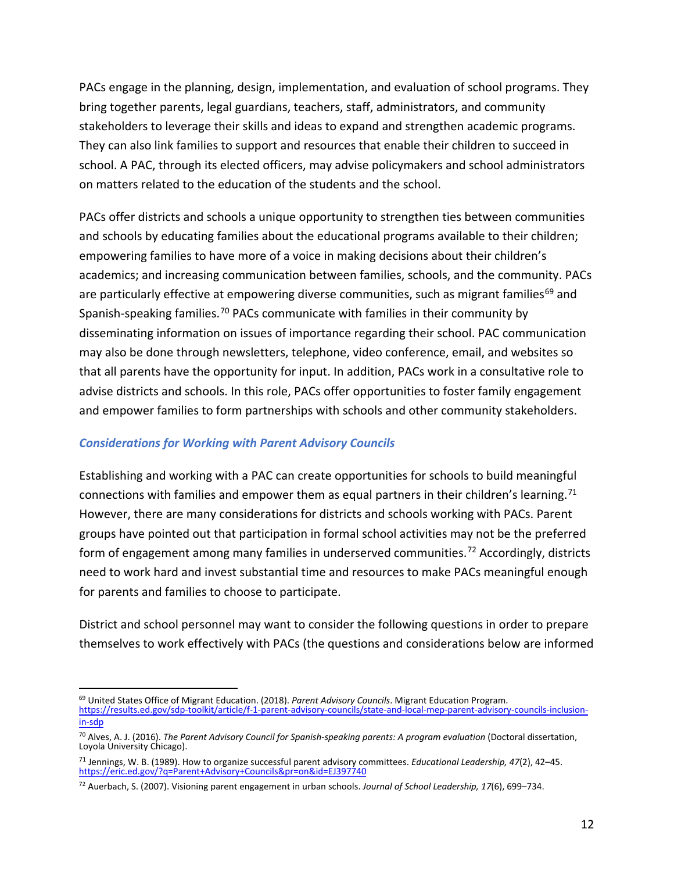PACs engage in the planning, design, implementation, and evaluation of school programs. They bring together parents, legal guardians, teachers, staff, administrators, and community stakeholders to leverage their skills and ideas to expand and strengthen academic programs. They can also link families to support and resources that enable their children to succeed in school. A PAC, through its elected officers, may advise policymakers and school administrators on matters related to the education of the students and the school.

PACs offer districts and schools a unique opportunity to strengthen ties between communities and schools by educating families about the educational programs available to their children; empowering families to have more of a voice in making decisions about their children's academics; and increasing communication between families, schools, and the community. PACs are particularly effective at empowering diverse communities, such as migrant families<sup>[69](#page-11-0)</sup> and Spanish-speaking families.<sup>[70](#page-11-1)</sup> PACs communicate with families in their community by disseminating information on issues of importance regarding their school. PAC communication may also be done through newsletters, telephone, video conference, email, and websites so that all parents have the opportunity for input. In addition, PACs work in a consultative role to advise districts and schools. In this role, PACs offer opportunities to foster family engagement and empower families to form partnerships with schools and other community stakeholders.

#### *Considerations for Working with Parent Advisory Councils*

Establishing and working with a PAC can create opportunities for schools to build meaningful connections with families and empower them as equal partners in their children's learning.<sup>[71](#page-11-2)</sup> However, there are many considerations for districts and schools working with PACs. Parent groups have pointed out that participation in formal school activities may not be the preferred form of engagement among many families in underserved communities.<sup>[72](#page-11-3)</sup> Accordingly, districts need to work hard and invest substantial time and resources to make PACs meaningful enough for parents and families to choose to participate.

District and school personnel may want to consider the following questions in order to prepare themselves to work effectively with PACs (the questions and considerations below are informed

<span id="page-11-0"></span><sup>69</sup> United States Office of Migrant Education. (2018). *Parent Advisory Councils*. Migrant Education Program. [https://results.ed.gov/sdp-toolkit/article/f-1-parent-advisory-councils/state-and-local-mep-parent-advisory-councils-inclusion](https://results.ed.gov/sdp-toolkit/article/f-1-parent-advisory-councils/state-and-local-mep-parent-advisory-councils-inclusion-in-sdp)[in-sdp](https://results.ed.gov/sdp-toolkit/article/f-1-parent-advisory-councils/state-and-local-mep-parent-advisory-councils-inclusion-in-sdp) 

<span id="page-11-1"></span><sup>70</sup> Alves, A. J. (2016). *The Parent Advisory Council for Spanish-speaking parents: A program evaluation* (Doctoral dissertation, Loyola University Chicago).

<span id="page-11-2"></span><sup>71</sup> Jennings, W. B. (1989). How to organize successful parent advisory committees. *Educational Leadership, 47*(2), 42–45. <https://eric.ed.gov/?q=Parent+Advisory+Councils&pr=on&id=EJ397740>

<span id="page-11-3"></span><sup>72</sup> Auerbach, S. (2007). Visioning parent engagement in urban schools. *Journal of School Leadership, 17*(6), 699–734.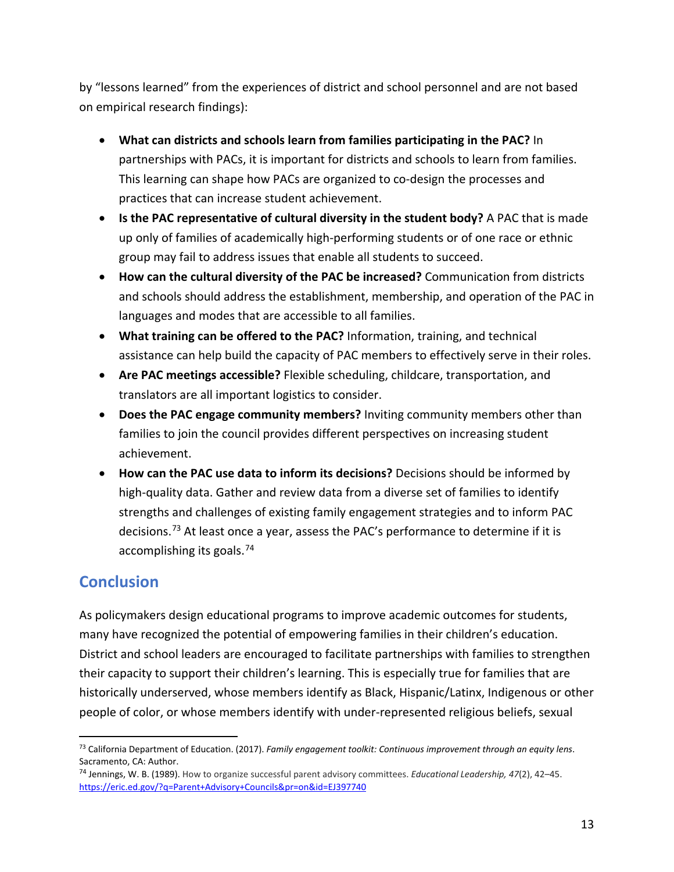by "lessons learned" from the experiences of district and school personnel and are not based on empirical research findings):

- **What can districts and schools learn from families participating in the PAC?** In partnerships with PACs, it is important for districts and schools to learn from families. This learning can shape how PACs are organized to co-design the processes and practices that can increase student achievement.
- **Is the PAC representative of cultural diversity in the student body?** A PAC that is made up only of families of academically high-performing students or of one race or ethnic group may fail to address issues that enable all students to succeed.
- **How can the cultural diversity of the PAC be increased?** Communication from districts and schools should address the establishment, membership, and operation of the PAC in languages and modes that are accessible to all families.
- **What training can be offered to the PAC?** Information, training, and technical assistance can help build the capacity of PAC members to effectively serve in their roles.
- **Are PAC meetings accessible?** Flexible scheduling, childcare, transportation, and translators are all important logistics to consider.
- **Does the PAC engage community members?** Inviting community members other than families to join the council provides different perspectives on increasing student achievement.
- **How can the PAC use data to inform its decisions?** Decisions should be informed by high-quality data. Gather and review data from a diverse set of families to identify strengths and challenges of existing family engagement strategies and to inform PAC decisions.<sup>[73](#page-12-0)</sup> At least once a year, assess the PAC's performance to determine if it is accomplishing its goals.[74](#page-12-1)

# **Conclusion**

 $\overline{a}$ 

As policymakers design educational programs to improve academic outcomes for students, many have recognized the potential of empowering families in their children's education. District and school leaders are encouraged to facilitate partnerships with families to strengthen their capacity to support their children's learning. This is especially true for families that are historically underserved, whose members identify as Black, Hispanic/Latinx, Indigenous or other people of color, or whose members identify with under-represented religious beliefs, sexual

<span id="page-12-0"></span><sup>73</sup> California Department of Education. (2017). *Family engagement toolkit: Continuous improvement through an equity lens*. Sacramento, CA: Author.

<span id="page-12-1"></span><sup>74</sup> Jennings, W. B. (1989). How to organize successful parent advisory committees. *Educational Leadership, 47*(2), 42–45. <https://eric.ed.gov/?q=Parent+Advisory+Councils&pr=on&id=EJ397740>